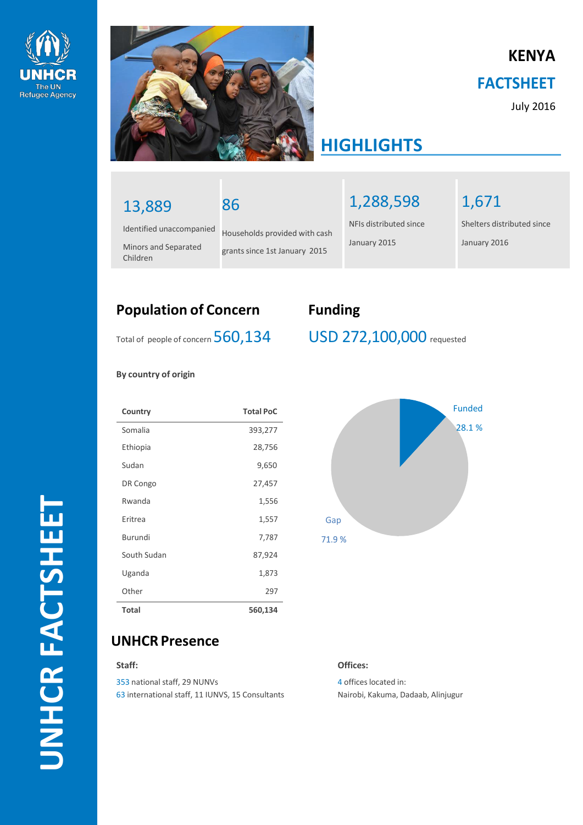



86

# **KENYA FACTSHEET**

July 2016

# **HIGHLIGHTS**

# 13,889

Identified unaccompanied

Minors and Separated Children

Households provided with cash grants since 1st January 2015

1,288,598

NFIs distributed since January 2015

1,671

Shelters distributed since January 2016

## **Population of Concern Funding**

Total of people of concern 560,134

**By country of origin**

| Country      | <b>Total PoC</b> |
|--------------|------------------|
| Somalia      | 393,277          |
| Ethiopia     | 28,756           |
| Sudan        | 9,650            |
| DR Congo     | 27,457           |
| Rwanda       | 1,556            |
| Eritrea      | 1,557            |
| Burundi      | 7,787            |
| South Sudan  | 87,924           |
| Uganda       | 1,873            |
| Other        | 297              |
| <b>Total</b> | 560,134          |

### USD 272,100,000 requested



**UNHCR Presence**

#### **Staff:**

353 national staff, 29 NUNVs 63 international staff, 11 IUNVS, 15 Consultants

#### **Offices:**

4 offices located in: Nairobi, Kakuma, Dadaab, Alinjugur

**UNHCR FACTSHEET**UNHCR FACTSHEET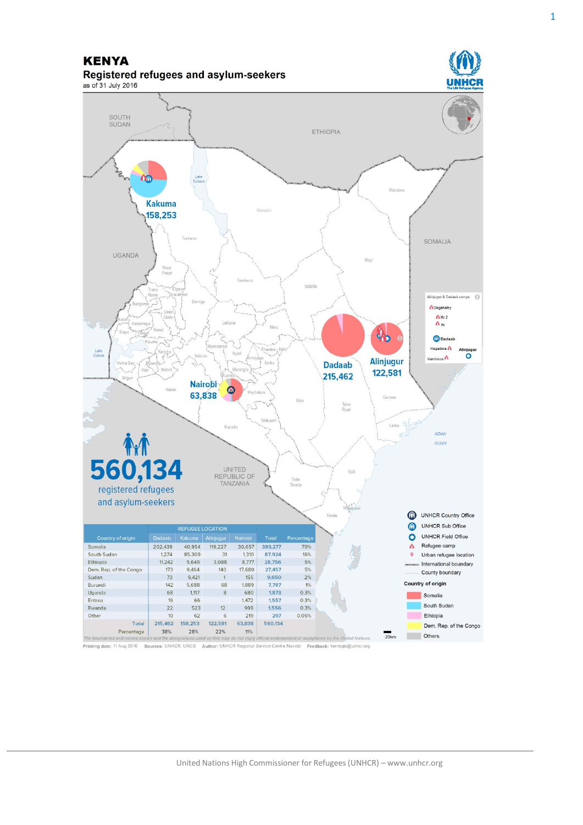#### **KENYA** Registered refugees and asylum-seekers



Printing date: 11 Aug 2016 Sources: UNHCR, UNCS Author: UNHCR Regional Service Centre Nairobi Feedback: kenrsgis@unhcr.org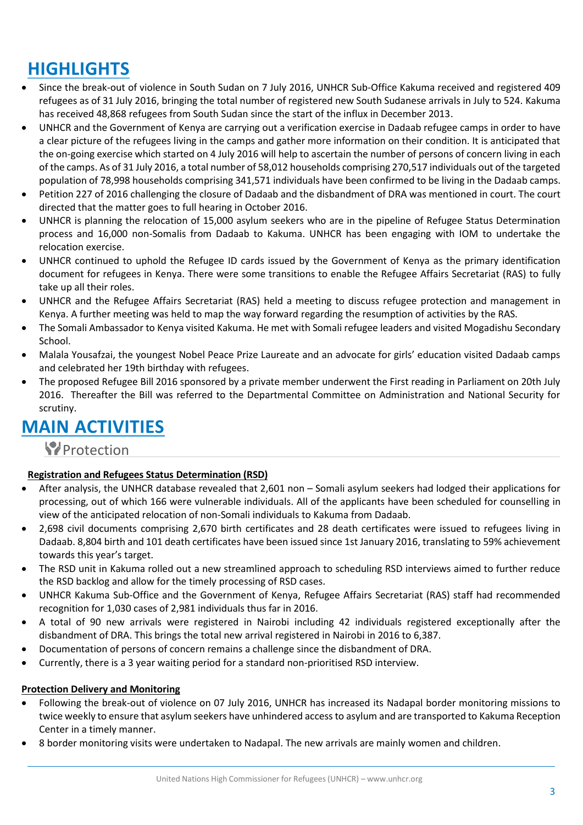# **HIGHLIGHTS**

- Since the break-out of violence in South Sudan on 7 July 2016, UNHCR Sub-Office Kakuma received and registered 409 refugees as of 31 July 2016, bringing the total number of registered new South Sudanese arrivals in July to 524. Kakuma has received 48,868 refugees from South Sudan since the start of the influx in December 2013.
- UNHCR and the Government of Kenya are carrying out a verification exercise in Dadaab refugee camps in order to have a clear picture of the refugees living in the camps and gather more information on their condition. It is anticipated that the on-going exercise which started on 4 July 2016 will help to ascertain the number of persons of concern living in each of the camps. As of 31 July 2016, a total number of 58,012 households comprising 270,517 individuals out of the targeted population of 78,998 households comprising 341,571 individuals have been confirmed to be living in the Dadaab camps.
- Petition 227 of 2016 challenging the closure of Dadaab and the disbandment of DRA was mentioned in court. The court directed that the matter goes to full hearing in October 2016.
- UNHCR is planning the relocation of 15,000 asylum seekers who are in the pipeline of Refugee Status Determination process and 16,000 non-Somalis from Dadaab to Kakuma. UNHCR has been engaging with IOM to undertake the relocation exercise.
- UNHCR continued to uphold the Refugee ID cards issued by the Government of Kenya as the primary identification document for refugees in Kenya. There were some transitions to enable the Refugee Affairs Secretariat (RAS) to fully take up all their roles.
- UNHCR and the Refugee Affairs Secretariat (RAS) held a meeting to discuss refugee protection and management in Kenya. A further meeting was held to map the way forward regarding the resumption of activities by the RAS.
- The Somali Ambassador to Kenya visited Kakuma. He met with Somali refugee leaders and visited Mogadishu Secondary School.
- Malala Yousafzai, the youngest Nobel Peace Prize Laureate and an advocate for girls' education visited Dadaab camps and celebrated her 19th birthday with refugees.
- The proposed Refugee Bill 2016 sponsored by a private member underwent the First reading in Parliament on 20th July 2016. Thereafter the Bill was referred to the Departmental Committee on Administration and National Security for scrutiny.

# **MAIN ACTIVITIES**

### **P**rotection

#### **Registration and Refugees Status Determination (RSD)**

- After analysis, the UNHCR database revealed that 2,601 non Somali asylum seekers had lodged their applications for processing, out of which 166 were vulnerable individuals. All of the applicants have been scheduled for counselling in view of the anticipated relocation of non-Somali individuals to Kakuma from Dadaab.
- 2,698 civil documents comprising 2,670 birth certificates and 28 death certificates were issued to refugees living in Dadaab. 8,804 birth and 101 death certificates have been issued since 1st January 2016, translating to 59% achievement towards this year's target.
- The RSD unit in Kakuma rolled out a new streamlined approach to scheduling RSD interviews aimed to further reduce the RSD backlog and allow for the timely processing of RSD cases.
- UNHCR Kakuma Sub-Office and the Government of Kenya, Refugee Affairs Secretariat (RAS) staff had recommended recognition for 1,030 cases of 2,981 individuals thus far in 2016.
- A total of 90 new arrivals were registered in Nairobi including 42 individuals registered exceptionally after the disbandment of DRA. This brings the total new arrival registered in Nairobi in 2016 to 6,387.
- Documentation of persons of concern remains a challenge since the disbandment of DRA.
- Currently, there is a 3 year waiting period for a standard non-prioritised RSD interview.

#### **Protection Delivery and Monitoring**

- Following the break-out of violence on 07 July 2016, UNHCR has increased its Nadapal border monitoring missions to twice weekly to ensure that asylum seekers have unhindered access to asylum and are transported to Kakuma Reception Center in a timely manner.
- 8 border monitoring visits were undertaken to Nadapal. The new arrivals are mainly women and children.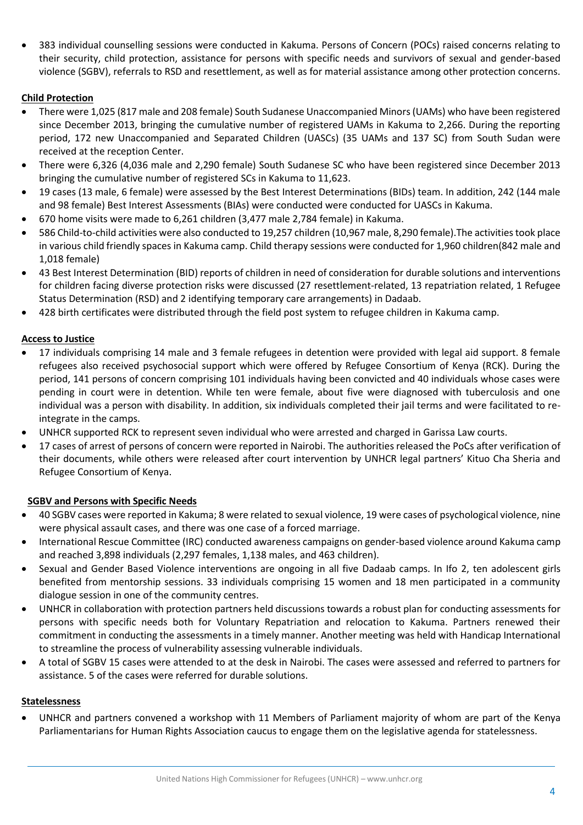383 individual counselling sessions were conducted in Kakuma. Persons of Concern (POCs) raised concerns relating to their security, child protection, assistance for persons with specific needs and survivors of sexual and gender-based violence (SGBV), referrals to RSD and resettlement, as well as for material assistance among other protection concerns.

#### **Child Protection**

- There were 1,025 (817 male and 208 female) South Sudanese Unaccompanied Minors (UAMs) who have been registered since December 2013, bringing the cumulative number of registered UAMs in Kakuma to 2,266. During the reporting period, 172 new Unaccompanied and Separated Children (UASCs) (35 UAMs and 137 SC) from South Sudan were received at the reception Center.
- There were 6,326 (4,036 male and 2,290 female) South Sudanese SC who have been registered since December 2013 bringing the cumulative number of registered SCs in Kakuma to 11,623.
- 19 cases (13 male, 6 female) were assessed by the Best Interest Determinations (BIDs) team. In addition, 242 (144 male and 98 female) Best Interest Assessments (BIAs) were conducted were conducted for UASCs in Kakuma.
- 670 home visits were made to 6,261 children (3,477 male 2,784 female) in Kakuma.
- 586 Child-to-child activities were also conducted to 19,257 children (10,967 male, 8,290 female).The activities took place in various child friendly spaces in Kakuma camp. Child therapy sessions were conducted for 1,960 children(842 male and 1,018 female)
- 43 Best Interest Determination (BID) reports of children in need of consideration for durable solutions and interventions for children facing diverse protection risks were discussed (27 resettlement-related, 13 repatriation related, 1 Refugee Status Determination (RSD) and 2 identifying temporary care arrangements) in Dadaab.
- 428 birth certificates were distributed through the field post system to refugee children in Kakuma camp.

#### **Access to Justice**

- 17 individuals comprising 14 male and 3 female refugees in detention were provided with legal aid support. 8 female refugees also received psychosocial support which were offered by Refugee Consortium of Kenya (RCK). During the period, 141 persons of concern comprising 101 individuals having been convicted and 40 individuals whose cases were pending in court were in detention. While ten were female, about five were diagnosed with tuberculosis and one individual was a person with disability. In addition, six individuals completed their jail terms and were facilitated to reintegrate in the camps.
- UNHCR supported RCK to represent seven individual who were arrested and charged in Garissa Law courts.
- 17 cases of arrest of persons of concern were reported in Nairobi. The authorities released the PoCs after verification of their documents, while others were released after court intervention by UNHCR legal partners' Kituo Cha Sheria and Refugee Consortium of Kenya.

#### **SGBV and Persons with Specific Needs**

- 40 SGBV cases were reported in Kakuma; 8 were related to sexual violence, 19 were cases of psychological violence, nine were physical assault cases, and there was one case of a forced marriage.
- International Rescue Committee (IRC) conducted awareness campaigns on gender-based violence around Kakuma camp and reached 3,898 individuals (2,297 females, 1,138 males, and 463 children).
- Sexual and Gender Based Violence interventions are ongoing in all five Dadaab camps. In Ifo 2, ten adolescent girls benefited from mentorship sessions. 33 individuals comprising 15 women and 18 men participated in a community dialogue session in one of the community centres.
- UNHCR in collaboration with protection partners held discussions towards a robust plan for conducting assessments for persons with specific needs both for Voluntary Repatriation and relocation to Kakuma. Partners renewed their commitment in conducting the assessments in a timely manner. Another meeting was held with Handicap International to streamline the process of vulnerability assessing vulnerable individuals.
- A total of SGBV 15 cases were attended to at the desk in Nairobi. The cases were assessed and referred to partners for assistance. 5 of the cases were referred for durable solutions.

#### **Statelessness**

 UNHCR and partners convened a workshop with 11 Members of Parliament majority of whom are part of the Kenya Parliamentarians for Human Rights Association caucus to engage them on the legislative agenda for statelessness.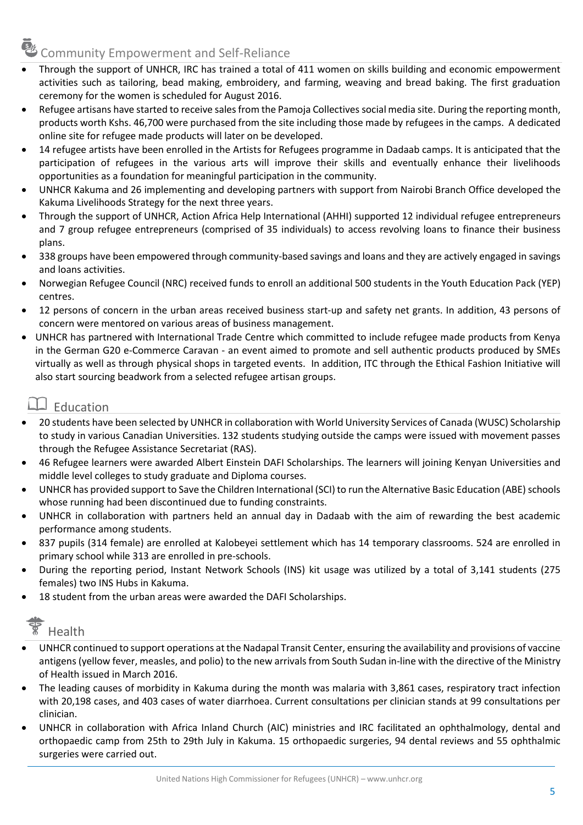# Community Empowerment and Self-Reliance

- Through the support of UNHCR, IRC has trained a total of 411 women on skills building and economic empowerment activities such as tailoring, bead making, embroidery, and farming, weaving and bread baking. The first graduation ceremony for the women is scheduled for August 2016.
- Refugee artisans have started to receive sales from the Pamoja Collectives social media site. During the reporting month, products worth Kshs. 46,700 were purchased from the site including those made by refugees in the camps. A dedicated online site for refugee made products will later on be developed.
- 14 refugee artists have been enrolled in the Artists for Refugees programme in Dadaab camps. It is anticipated that the participation of refugees in the various arts will improve their skills and eventually enhance their livelihoods opportunities as a foundation for meaningful participation in the community.
- UNHCR Kakuma and 26 implementing and developing partners with support from Nairobi Branch Office developed the Kakuma Livelihoods Strategy for the next three years.
- Through the support of UNHCR, Action Africa Help International (AHHI) supported 12 individual refugee entrepreneurs and 7 group refugee entrepreneurs (comprised of 35 individuals) to access revolving loans to finance their business plans.
- 338 groups have been empowered through community-based savings and loans and they are actively engaged in savings and loans activities.
- Norwegian Refugee Council (NRC) received funds to enroll an additional 500 students in the Youth Education Pack (YEP) centres.
- 12 persons of concern in the urban areas received business start-up and safety net grants. In addition, 43 persons of concern were mentored on various areas of business management.
- UNHCR has partnered with International Trade Centre which committed to include refugee made products from Kenya in the German G20 e-Commerce Caravan - an event aimed to promote and sell authentic products produced by SMEs virtually as well as through physical shops in targeted events. In addition, ITC through the Ethical Fashion Initiative will also start sourcing beadwork from a selected refugee artisan groups.

### $\Box$  Education

- 20 students have been selected by UNHCR in collaboration with World University Services of Canada (WUSC) Scholarship to study in various Canadian Universities. 132 students studying outside the camps were issued with movement passes through the Refugee Assistance Secretariat (RAS).
- 46 Refugee learners were awarded Albert Einstein DAFI Scholarships. The learners will joining Kenyan Universities and middle level colleges to study graduate and Diploma courses.
- UNHCR has provided support to Save the Children International (SCI) to run the Alternative Basic Education (ABE) schools whose running had been discontinued due to funding constraints.
- UNHCR in collaboration with partners held an annual day in Dadaab with the aim of rewarding the best academic performance among students.
- 837 pupils (314 female) are enrolled at Kalobeyei settlement which has 14 temporary classrooms. 524 are enrolled in primary school while 313 are enrolled in pre-schools.
- During the reporting period, Instant Network Schools (INS) kit usage was utilized by a total of 3,141 students (275 females) two INS Hubs in Kakuma.
- 18 student from the urban areas were awarded the DAFI Scholarships.

# $\sqrt{\frac{2}{3}}$  Health

- UNHCR continued to support operations at the Nadapal Transit Center, ensuring the availability and provisions of vaccine antigens (yellow fever, measles, and polio) to the new arrivals from South Sudan in-line with the directive of the Ministry of Health issued in March 2016.
- The leading causes of morbidity in Kakuma during the month was malaria with 3,861 cases, respiratory tract infection with 20,198 cases, and 403 cases of water diarrhoea. Current consultations per clinician stands at 99 consultations per clinician.
- UNHCR in collaboration with Africa Inland Church (AIC) ministries and IRC facilitated an ophthalmology, dental and orthopaedic camp from 25th to 29th July in Kakuma. 15 orthopaedic surgeries, 94 dental reviews and 55 ophthalmic surgeries were carried out.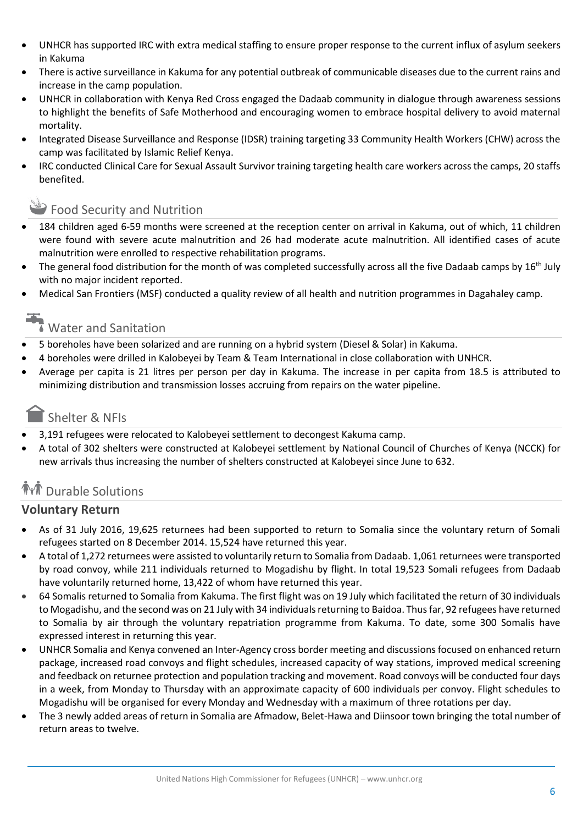- UNHCR has supported IRC with extra medical staffing to ensure proper response to the current influx of asylum seekers in Kakuma
- There is active surveillance in Kakuma for any potential outbreak of communicable diseases due to the current rains and increase in the camp population.
- UNHCR in collaboration with Kenya Red Cross engaged the Dadaab community in dialogue through awareness sessions to highlight the benefits of Safe Motherhood and encouraging women to embrace hospital delivery to avoid maternal mortality.
- Integrated Disease Surveillance and Response (IDSR) training targeting 33 Community Health Workers (CHW) across the camp was facilitated by Islamic Relief Kenya.
- IRC conducted Clinical Care for Sexual Assault Survivor training targeting health care workers across the camps, 20 staffs benefited.

### Food Security and Nutrition

- 184 children aged 6-59 months were screened at the reception center on arrival in Kakuma, out of which, 11 children were found with severe acute malnutrition and 26 had moderate acute malnutrition. All identified cases of acute malnutrition were enrolled to respective rehabilitation programs.
- The general food distribution for the month of was completed successfully across all the five Dadaab camps by  $16<sup>th</sup>$  July with no major incident reported.
- Medical San Frontiers (MSF) conducted a quality review of all health and nutrition programmes in Dagahaley camp.

# Water and Sanitation

- 5 boreholes have been solarized and are running on a hybrid system (Diesel & Solar) in Kakuma.
- 4 boreholes were drilled in Kalobeyei by Team & Team International in close collaboration with UNHCR.
- Average per capita is 21 litres per person per day in Kakuma. The increase in per capita from 18.5 is attributed to minimizing distribution and transmission losses accruing from repairs on the water pipeline.

### Shelter & NFIs

- 3,191 refugees were relocated to Kalobeyei settlement to decongest Kakuma camp.
- A total of 302 shelters were constructed at Kalobeyei settlement by National Council of Churches of Kenya (NCCK) for new arrivals thus increasing the number of shelters constructed at Kalobeyei since June to 632.

### **THT** Durable Solutions

### **Voluntary Return**

- As of 31 July 2016, 19,625 returnees had been supported to return to Somalia since the voluntary return of Somali refugees started on 8 December 2014. 15,524 have returned this year.
- A total of 1,272 returnees were assisted to voluntarily return to Somalia from Dadaab. 1,061 returnees were transported by road convoy, while 211 individuals returned to Mogadishu by flight. In total 19,523 Somali refugees from Dadaab have voluntarily returned home, 13,422 of whom have returned this year.
- 64 Somalis returned to Somalia from Kakuma. The first flight was on 19 July which facilitated the return of 30 individuals to Mogadishu, and the second was on 21 July with 34 individuals returning to Baidoa. Thus far, 92 refugees have returned to Somalia by air through the voluntary repatriation programme from Kakuma. To date, some 300 Somalis have expressed interest in returning this year.
- UNHCR Somalia and Kenya convened an Inter-Agency cross border meeting and discussions focused on enhanced return package, increased road convoys and flight schedules, increased capacity of way stations, improved medical screening and feedback on returnee protection and population tracking and movement. Road convoys will be conducted four days in a week, from Monday to Thursday with an approximate capacity of 600 individuals per convoy. Flight schedules to Mogadishu will be organised for every Monday and Wednesday with a maximum of three rotations per day.
- The 3 newly added areas of return in Somalia are Afmadow, Belet-Hawa and Diinsoor town bringing the total number of return areas to twelve.